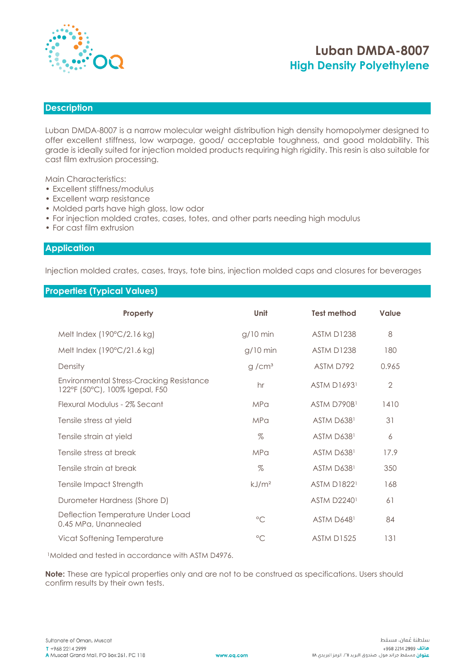

# **Luban DMDA-8007 High Density Polyethylene**

### **Description**

Luban DMDA-8007 is a narrow molecular weight distribution high density homopolymer designed to offer excellent stiffness, low warpage, good/ acceptable toughness, and good moldability. This grade is ideally suited for injection molded products requiring high rigidity. This resin is also suitable for cast film extrusion processing.

Main Characteristics:

- Excellent stiffness/modulus
- Excellent warp resistance
- Molded parts have high gloss, low odor
- For injection molded crates, cases, totes, and other parts needing high modulus
- For cast film extrusion

#### **Application**

Injection molded crates, cases, trays, tote bins, injection molded caps and closures for beverages

### **Properties (Typical Values)**

| Property                                                                   | Unit              | <b>Test method</b> | Value          |  |
|----------------------------------------------------------------------------|-------------------|--------------------|----------------|--|
| Melt Index (190°C/2.16 kg)                                                 | $g/10$ min        | <b>ASTM D1238</b>  | 8              |  |
| Melt Index (190°C/21.6 kg)                                                 | $g/10$ min        | <b>ASTM D1238</b>  | 180            |  |
| Density                                                                    | g/cm <sup>3</sup> | ASTM D792          | 0.965          |  |
| Environmental Stress-Cracking Resistance<br>122°F (50°C), 100% Igepal, F50 | hr                | <b>ASTM D16931</b> | $\overline{2}$ |  |
| Flexural Modulus - 2% Secant                                               | <b>MPa</b>        | ASTM D790B1        | 1410           |  |
| Tensile stress at yield                                                    | <b>MPa</b>        | ASTM D6381         | 31             |  |
| Tensile strain at yield                                                    | $\%$              | ASTM D6381         | 6              |  |
| Tensile stress at break                                                    | <b>MPa</b>        | ASTM D6381         | 17.9           |  |
| Tensile strain at break                                                    | $\%$              | ASTM D6381         | 350            |  |
| <b>Tensile Impact Strength</b>                                             | kJ/m <sup>2</sup> | <b>ASTM D18221</b> | 168            |  |
| Durometer Hardness (Shore D)                                               |                   | <b>ASTM D22401</b> | 61             |  |
| Deflection Temperature Under Load<br>0.45 MPa, Unannealed                  | $^{\circ}$ C      | ASTM D6481         | 84             |  |
| Vicat Softening Temperature                                                | $^{\circ}$ C      | <b>ASTM D1525</b>  | 131            |  |

<sup>1</sup>Molded and tested in accordance with ASTM D4976.

**Note:** These are typical properties only and are not to be construed as specifications. Users should confirm results by their own tests.